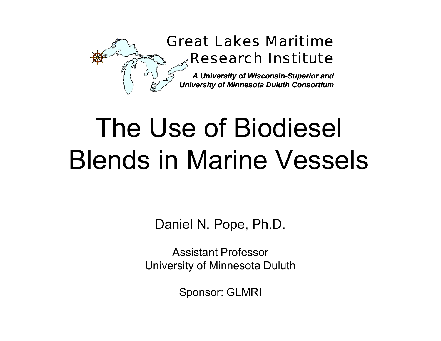

# The Use of Biodiesel Blends in Marine Vessels

Daniel N. Pope, Ph.D.

Assistant ProfessorUniversity of Minnesota Duluth

Sponsor: GLMRI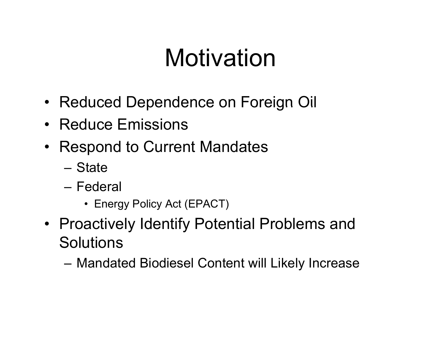## Motivation

- Reduced Dependence on Foreign Oil
- Reduce Emissions
- Respond to Current Mandates
	- State
	- Federal
		- Energy Policy Act (EPACT)
- Proactively Identify Potential Problems and **Solutions** 
	- Mandated Biodiesel Content will Likely Increase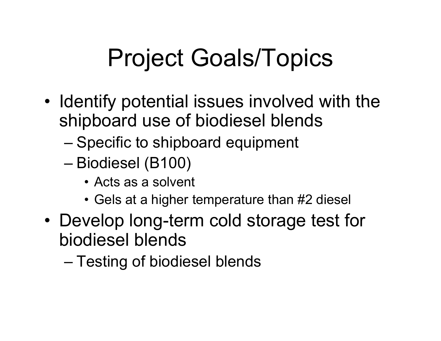# Project Goals/Topics

- •• Identify potential issues involved with the shipboard use of biodiesel blends
	- Specific to shipboard equipment
	- Biodiesel (B100)
		- Acts as a solvent
		- Gels at a higher temperature than #2 diesel
- • Develop long-term cold storage test for biodiesel blends
	- Testing of biodiesel blends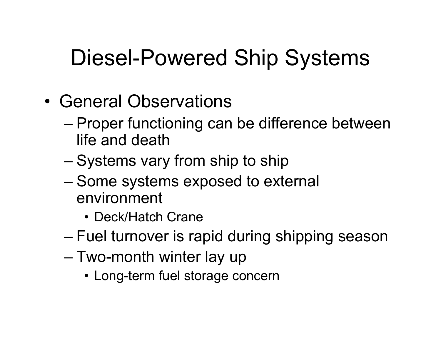- General Observations
	- Proper functioning can be difference between life and death
	- Systems vary from ship to ship
	- Some systems exposed to external environment
		- Deck/Hatch Crane
	- Fuel turnover is rapid during shipping season
	- Two-month winter lay up
		- Long-term fuel storage concern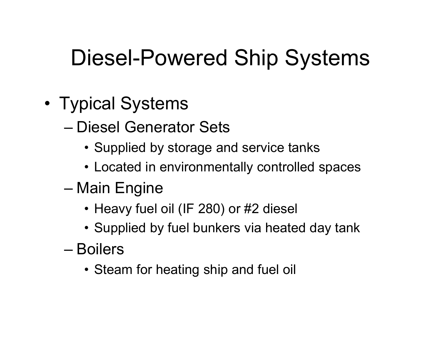- • Typical Systems
	- Diesel Generator Sets
		- Supplied by storage and service tanks
		- Located in environmentally controlled spaces
	- Main Engine
		- Heavy fuel oil (IF 280) or #2 diesel
		- $\bullet$  Supplied by fuel bunkers via heated day tank
	- Boilers
		- Steam for heating ship and fuel oil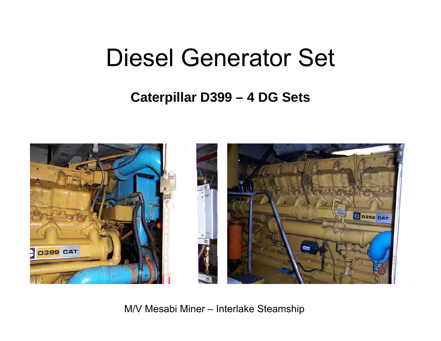## Diesel Generator Set

#### **Caterpillar D399 – 4 DG Sets**



M/V Mesabi Miner – Interlake Steamship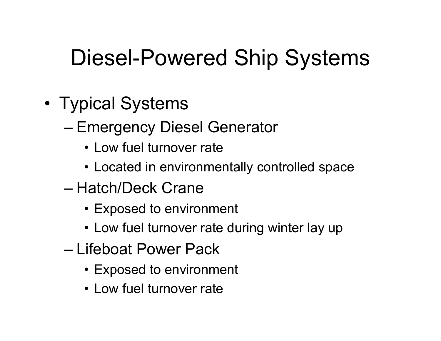- • Typical Systems
	- Emergency Diesel Generator
		- Low fuel turnover rate
		- Located in environmentally controlled space
	- Hatch/Deck Crane
		- Exposed to environment
		- Low fuel turnover rate during winter lay up
	- Lifeboat Power Pack
		- Exposed to environment
		- Low fuel turnover rate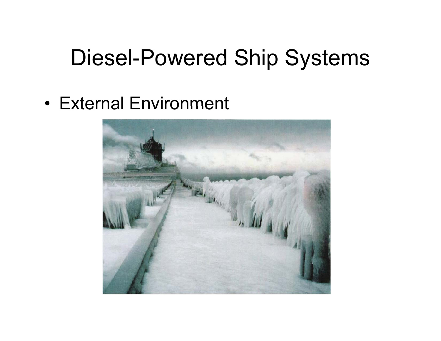• External Environment

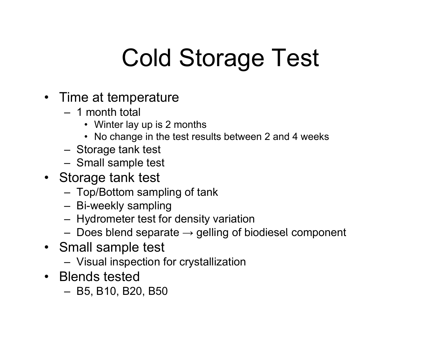# Cold Storage Test

- Time at temperature
	- 1 month total
		- Winter lay up is 2 months
		- No change in the test results between 2 and 4 weeks
	- Storage tank test
	- Small sample test
- Storage tank test
	- Top/Bottom sampling of tank
	- Bi-weekly sampling
	- Hydrometer test for density variation
	- $-$  Does blend separate  $\rightarrow$  gelling of biodiesel component
- Small sample test
	- Visual inspection for crystallization
- Blends tested
	- B5, B10, B20, B50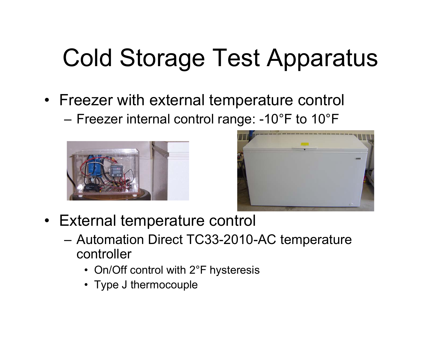# Cold Storage Test Apparatus

- Freezer with external tem perature control
	- Freezer internal control range: -10°F to 10°F





- External temperature control
	- Automation Direct TC33-2010-AC temperature controller
		- On/Off control with 2°F hysteresis
		- Type J thermocouple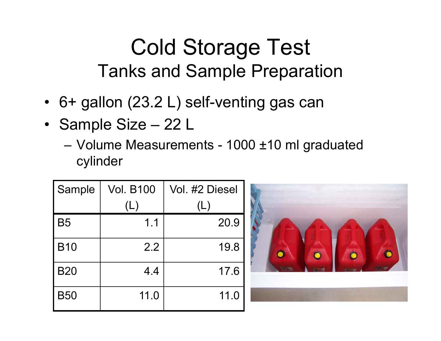#### Cold Storage Test Tanks and Sample Preparation

- 6+ gallon (23.2 L) self-venting gas can
- Sample Size 22 L
	- Volume Measurements 1000 ±10 ml graduated cylinder

| Sample     | <b>Vol. B100</b> | Vol. #2 Diesel |
|------------|------------------|----------------|
|            | (L)              | (L)            |
| <b>B5</b>  | 1.1              | 20.9           |
| <b>B10</b> | 2.2              | 19.8           |
| <b>B20</b> | 4.4              | 17.6           |
| <b>B50</b> | 11.0             | 11.0           |

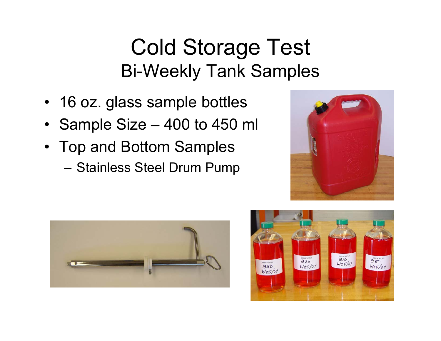#### Cold Storage Test Bi-Weekly Tank Samples

- 16 oz. glass sample bottles
- Sample Size 400 to 450 ml
- Top and Bottom Samples
	- Stainless Steel Drum Pump





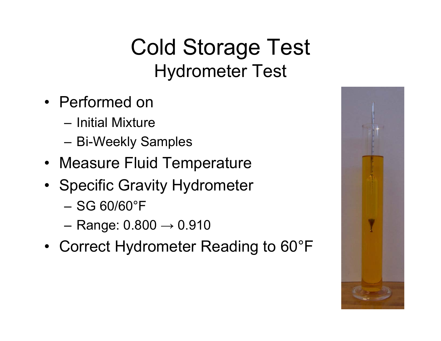### Cold Storage Test Hydrometer Test

- Performed on
	- Initial Mixture
	- Bi-Weekly Samples
- Measure Fluid Temperature
- Specific Gravity Hydrometer
	- SG 60/60°F
	- Range:  $0.800 \rightarrow 0.910$
- Correct Hydrometer Reading to 60°F

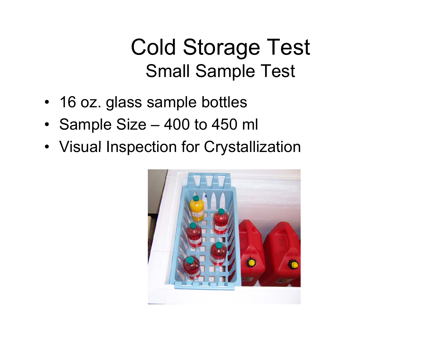#### Cold Storage Test Small Sample Test

- 16 oz. glass sample bottles
- Sample Size 400 to 450 ml
- Visual Inspection for Crystallization

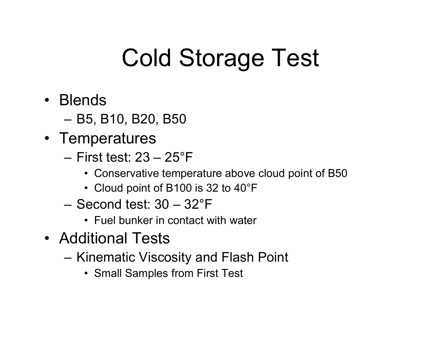# Cold Storage Test

- Blends
	- B5, B10, B20, B50
- Temperatures
	- First test: 23 25°F
		- Conservative temperature above cloud point of B50
		- Cloud point of B100 is 32 to 40°F
	- Second test: 30 32°F
		- Fuel bunker in contact with water
- Additional Tests
	- Kinematic Viscosity and Flash Point
		- Small Sam ples from First Test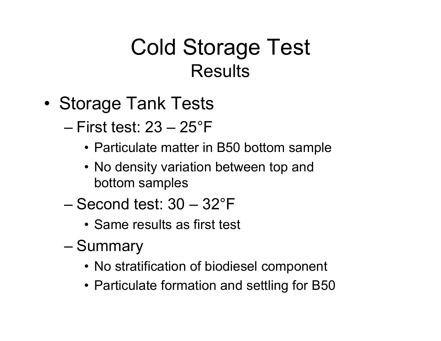#### Cold Storage Test **Results**

- •• Storage Tank Tests
	- First test: 23 25°F
		- Particulate matter in B50 bottom sample
		- No density variation between top and bottom samples
	- Second test: 30 32°F
		- Same results as first test
	- **Summary** 
		- No stratification of biodiesel component
		- Particulate formation and settling for B50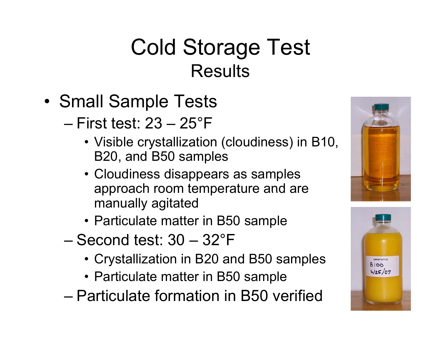### Cold Storage Test **Results**

- •• Small Sample Tests
	- First test: 23 25°F
		- $\bullet$  Visible crystallization (cloudiness) in B10, B20, and B50 samples
		- Cloudiness disappears as samples approach room temperature and are manually agitated
		- Particulate matter in B50 sample
	- Second test: 30 32°F
		- Crystallization in B20 and B50 samples
		- Particulate matter in B50 sample
	- Particulate formation in B50 verified



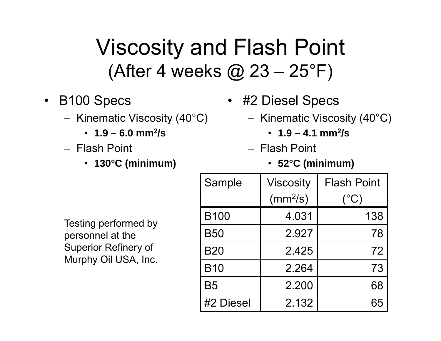#### Viscosity and Flash Point (After 4 weeks @ 23 –25°F)

- B100 S
	- Kinematic Viscosity (40°C)
		- **1.9 – 6.0 mm2/s**
	- Flash Point Flash Point –
		- **130°C (minimum)**
- pecs #2 Diesel S pecs p
	- Kinematic Viscosity (40°C)
		- **1.9 – 4.1 mm2/s**
	- - **52°C (minimum)**

| Testing performed by |  |
|----------------------|--|
| personnel at the     |  |
| Superior Refinery of |  |
| Murphy Oil USA, Inc. |  |

| Sample      | <b>Viscosity</b> | <b>Flash Point</b> |
|-------------|------------------|--------------------|
|             | $(mm^2/s)$       | $(^{\circ}C)$      |
| <b>B100</b> | 4.031            | 138                |
| <b>B50</b>  | 2.927            | 78                 |
| <b>B20</b>  | 2.425            | 72                 |
| <b>B10</b>  | 2.264            | 73                 |
| <b>B5</b>   | 2.200            | 68                 |
| #2 Diesel   | 2.132            |                    |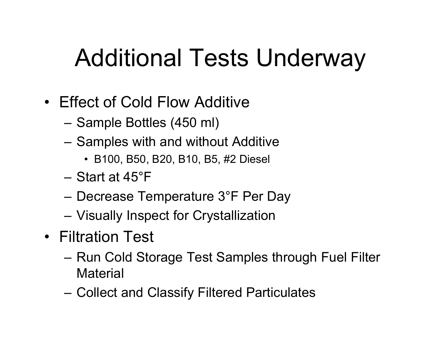# Additional Tests Underway

- Effect of Cold Flow Additive
	- Sample Bottles (450 ml)
	- Sam ples with and without Additive
		- B100, B50, B20, B10, B5, #2 Diesel
	- Start at 45°F
	- Decrease Temperature 3°F Per Day
	- Visually Inspect for Crystallization
- Filtration Test
	- Run Cold Storage Test Samples through Fuel Filter **Material**
	- Collect and Classify Filtered Particulates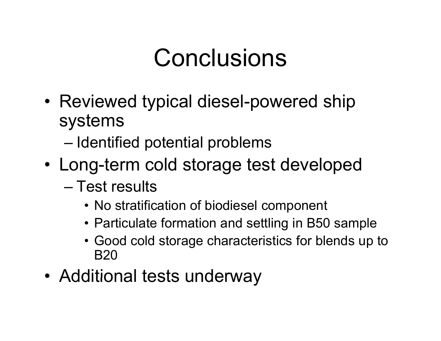## **Conclusions**

- Reviewed typical diesel-powered ship systems
	- $-$  Identified potential problems
- Long-term cold storage test developed
	- Test results
		- No stratification of biodiesel component
		- Particulate formation and settling in B50 sample
		- Good cold storage characteristics for blends up to B20
- Additional tests underway